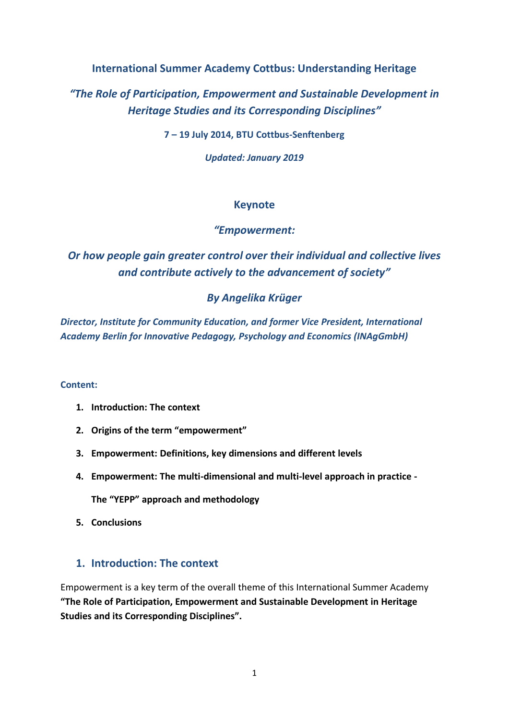**International Summer Academy Cottbus: Understanding Heritage**

*"The Role of Participation, Empowerment and Sustainable Development in Heritage Studies and its Corresponding Disciplines"*

**7 – 19 July 2014, BTU Cottbus-Senftenberg**

*Updated: January 2019*

# **Keynote**

# *"Empowerment:*

*Or how people gain greater control over their individual and collective lives and contribute actively to the advancement of society"*

# *By Angelika Krüger*

*Director, Institute for Community Education, and former Vice President, International Academy Berlin for Innovative Pedagogy, Psychology and Economics (INAgGmbH)*

#### **Content:**

- **1. Introduction: The context**
- **2. Origins of the term "empowerment"**
- **3. Empowerment: Definitions, key dimensions and different levels**
- **4. Empowerment: The multi-dimensional and multi-level approach in practice -**

**The "YEPP" approach and methodology**

**5. Conclusions**

## **1. Introduction: The context**

Empowerment is a key term of the overall theme of this International Summer Academy **"The Role of Participation, Empowerment and Sustainable Development in Heritage Studies and its Corresponding Disciplines".**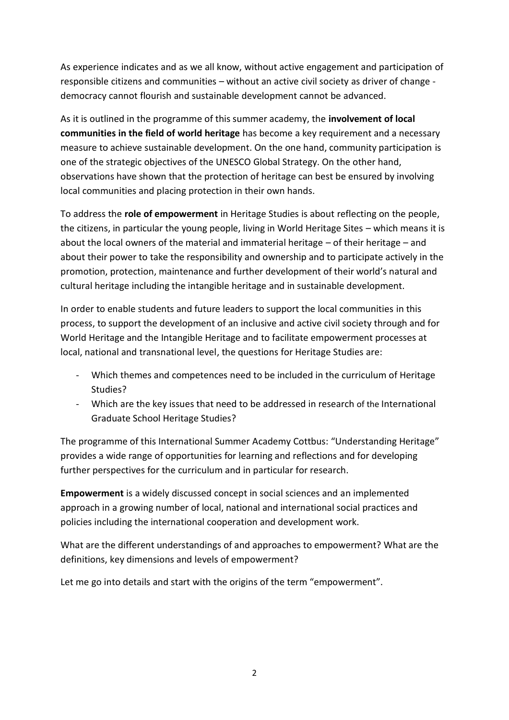As experience indicates and as we all know, without active engagement and participation of responsible citizens and communities – without an active civil society as driver of change democracy cannot flourish and sustainable development cannot be advanced.

As it is outlined in the programme of this summer academy, the **involvement of local communities in the field of world heritage** has become a key requirement and a necessary measure to achieve sustainable development. On the one hand, community participation is one of the strategic objectives of the UNESCO Global Strategy. On the other hand, observations have shown that the protection of heritage can best be ensured by involving local communities and placing protection in their own hands.

To address the **role of empowerment** in Heritage Studies is about reflecting on the people, the citizens, in particular the young people, living in World Heritage Sites – which means it is about the local owners of the material and immaterial heritage – of their heritage – and about their power to take the responsibility and ownership and to participate actively in the promotion, protection, maintenance and further development of their world's natural and cultural heritage including the intangible heritage and in sustainable development.

In order to enable students and future leaders to support the local communities in this process, to support the development of an inclusive and active civil society through and for World Heritage and the Intangible Heritage and to facilitate empowerment processes at local, national and transnational level, the questions for Heritage Studies are:

- Which themes and competences need to be included in the curriculum of Heritage Studies?
- Which are the key issues that need to be addressed in research of the International Graduate School Heritage Studies?

The programme of this International Summer Academy Cottbus: "Understanding Heritage" provides a wide range of opportunities for learning and reflections and for developing further perspectives for the curriculum and in particular for research.

**Empowerment** is a widely discussed concept in social sciences and an implemented approach in a growing number of local, national and international social practices and policies including the international cooperation and development work.

What are the different understandings of and approaches to empowerment? What are the definitions, key dimensions and levels of empowerment?

Let me go into details and start with the origins of the term "empowerment".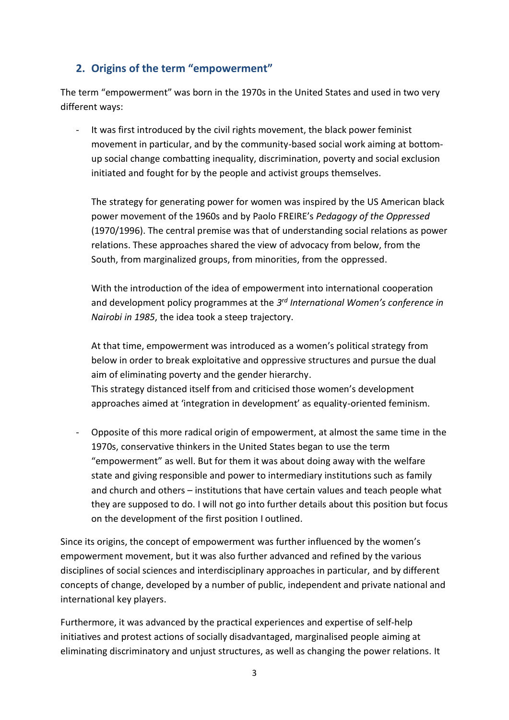# **2. Origins of the term "empowerment"**

The term "empowerment" was born in the 1970s in the United States and used in two very different ways:

- It was first introduced by the civil rights movement, the black power feminist movement in particular, and by the community-based social work aiming at bottomup social change combatting inequality, discrimination, poverty and social exclusion initiated and fought for by the people and activist groups themselves.

The strategy for generating power for women was inspired by the US American black power movement of the 1960s and by Paolo FREIRE's *Pedagogy of the Oppressed* (1970/1996). The central premise was that of understanding social relations as power relations. These approaches shared the view of advocacy from below, from the South, from marginalized groups, from minorities, from the oppressed.

With the introduction of the idea of empowerment into international cooperation and development policy programmes at the *3 rd International Women's conference in Nairobi in 1985*, the idea took a steep trajectory.

At that time, empowerment was introduced as a women's political strategy from below in order to break exploitative and oppressive structures and pursue the dual aim of eliminating poverty and the gender hierarchy. This strategy distanced itself from and criticised those women's development approaches aimed at 'integration in development' as equality-oriented feminism.

- Opposite of this more radical origin of empowerment, at almost the same time in the 1970s, conservative thinkers in the United States began to use the term "empowerment" as well. But for them it was about doing away with the welfare state and giving responsible and power to intermediary institutions such as family and church and others – institutions that have certain values and teach people what they are supposed to do. I will not go into further details about this position but focus on the development of the first position I outlined.

Since its origins, the concept of empowerment was further influenced by the women's empowerment movement, but it was also further advanced and refined by the various disciplines of social sciences and interdisciplinary approaches in particular, and by different concepts of change, developed by a number of public, independent and private national and international key players.

Furthermore, it was advanced by the practical experiences and expertise of self-help initiatives and protest actions of socially disadvantaged, marginalised people aiming at eliminating discriminatory and unjust structures, as well as changing the power relations. It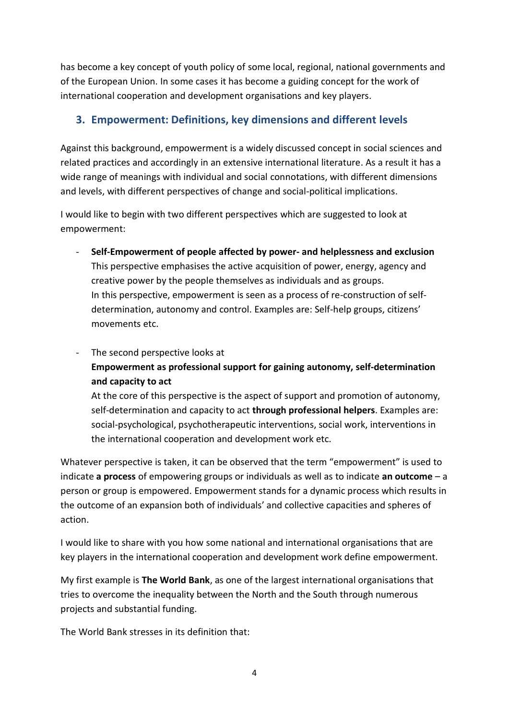has become a key concept of youth policy of some local, regional, national governments and of the European Union. In some cases it has become a guiding concept for the work of international cooperation and development organisations and key players.

# **3. Empowerment: Definitions, key dimensions and different levels**

Against this background, empowerment is a widely discussed concept in social sciences and related practices and accordingly in an extensive international literature. As a result it has a wide range of meanings with individual and social connotations, with different dimensions and levels, with different perspectives of change and social-political implications.

I would like to begin with two different perspectives which are suggested to look at empowerment:

- **Self-Empowerment of people affected by power- and helplessness and exclusion** This perspective emphasises the active acquisition of power, energy, agency and creative power by the people themselves as individuals and as groups. In this perspective, empowerment is seen as a process of re-construction of selfdetermination, autonomy and control. Examples are: Self-help groups, citizens' movements etc.
- The second perspective looks at **Empowerment as professional support for gaining autonomy, self-determination and capacity to act**

At the core of this perspective is the aspect of support and promotion of autonomy, self-determination and capacity to act **through professional helpers**. Examples are: social-psychological, psychotherapeutic interventions, social work, interventions in the international cooperation and development work etc.

Whatever perspective is taken, it can be observed that the term "empowerment" is used to indicate **a process** of empowering groups or individuals as well as to indicate **an outcome** – a person or group is empowered. Empowerment stands for a dynamic process which results in the outcome of an expansion both of individuals' and collective capacities and spheres of action.

I would like to share with you how some national and international organisations that are key players in the international cooperation and development work define empowerment.

My first example is **The World Bank**, as one of the largest international organisations that tries to overcome the inequality between the North and the South through numerous projects and substantial funding.

The World Bank stresses in its definition that: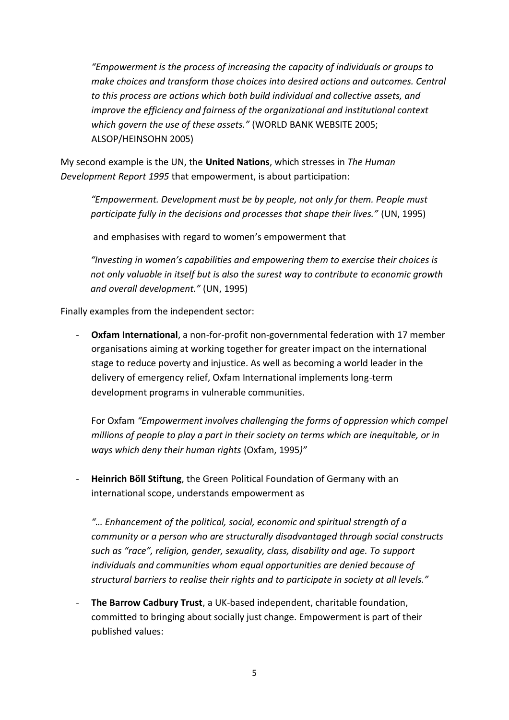*"Empowerment is the process of increasing the capacity of individuals or groups to make choices and transform those choices into desired actions and outcomes. Central to this process are actions which both build individual and collective assets, and improve the efficiency and fairness of the organizational and institutional context which govern the use of these assets."* (WORLD BANK WEBSITE 2005; ALSOP/HEINSOHN 2005)

My second example is the UN, the **United Nations**, which stresses in *The Human Development Report 1995* that empowerment, is about participation:

*"Empowerment. Development must be by people, not only for them. People must participate fully in the decisions and processes that shape their lives."* (UN, 1995)

and emphasises with regard to women's empowerment that

*"Investing in women's capabilities and empowering them to exercise their choices is not only valuable in itself but is also the surest way to contribute to economic growth and overall development."* (UN, 1995)

Finally examples from the independent sector:

- **Oxfam International**, a non-for-profit non-governmental federation with 17 member organisations aiming at working together for greater impact on the international stage to reduce poverty and injustice. As well as becoming a world leader in the delivery of emergency relief, Oxfam International implements long-term development programs in vulnerable communities.

For Oxfam *"Empowerment involves challenging the forms of oppression which compel millions of people to play a part in their society on terms which are inequitable, or in ways which deny their human rights* (Oxfam, 1995*)"*

- **Heinrich Böll Stiftung**, the Green Political Foundation of Germany with an international scope, understands empowerment as

*"… Enhancement of the political, social, economic and spiritual strength of a community or a person who are structurally disadvantaged through social constructs such as "race", religion, gender, sexuality, class, disability and age. To support individuals and communities whom equal opportunities are denied because of structural barriers to realise their rights and to participate in society at all levels."* 

The Barrow Cadbury Trust, a UK-based independent, charitable foundation, committed to bringing about socially just change. Empowerment is part of their published values: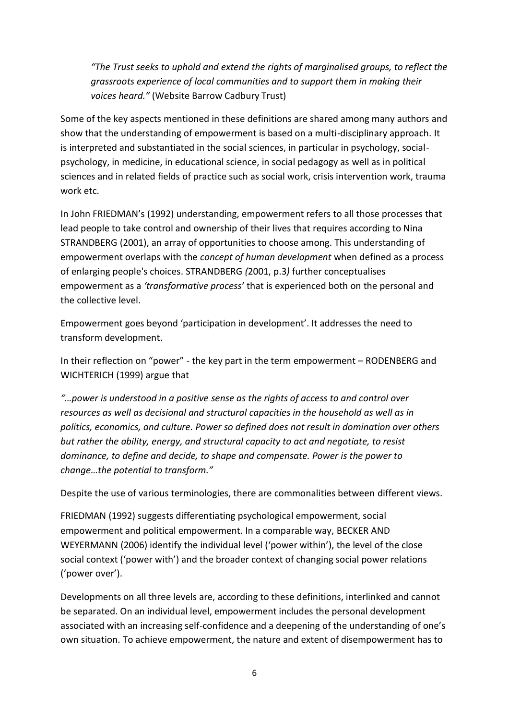*"The Trust seeks to uphold and extend the rights of marginalised groups, to reflect the grassroots experience of local communities and to support them in making their voices heard."* (Website Barrow Cadbury Trust)

Some of the key aspects mentioned in these definitions are shared among many authors and show that the understanding of empowerment is based on a multi-disciplinary approach. It is interpreted and substantiated in the social sciences, in particular in psychology, socialpsychology, in medicine, in educational science, in social pedagogy as well as in political sciences and in related fields of practice such as social work, crisis intervention work, trauma work etc.

In John FRIEDMAN's (1992) understanding, empowerment refers to all those processes that lead people to take control and ownership of their lives that requires according to Nina STRANDBERG (2001), an array of opportunities to choose among. This understanding of empowerment overlaps with the *concept of human development* when defined as a process of enlarging people's choices. STRANDBERG *(*2001, p.3*)* further conceptualises empowerment as a *'transformative process'* that is experienced both on the personal and the collective level.

Empowerment goes beyond 'participation in development'. It addresses the need to transform development.

In their reflection on "power" - the key part in the term empowerment – RODENBERG and WICHTERICH (1999) argue that

*"…power is understood in a positive sense as the rights of access to and control over resources as well as decisional and structural capacities in the household as well as in politics, economics, and culture. Power so defined does not result in domination over others but rather the ability, energy, and structural capacity to act and negotiate, to resist dominance, to define and decide, to shape and compensate. Power is the power to change…the potential to transform."* 

Despite the use of various terminologies, there are commonalities between different views.

FRIEDMAN (1992) suggests differentiating psychological empowerment, social empowerment and political empowerment. In a comparable way, BECKER AND WEYERMANN (2006) identify the individual level ('power within'), the level of the close social context ('power with') and the broader context of changing social power relations ('power over').

Developments on all three levels are, according to these definitions, interlinked and cannot be separated. On an individual level, empowerment includes the personal development associated with an increasing self-confidence and a deepening of the understanding of one's own situation. To achieve empowerment, the nature and extent of disempowerment has to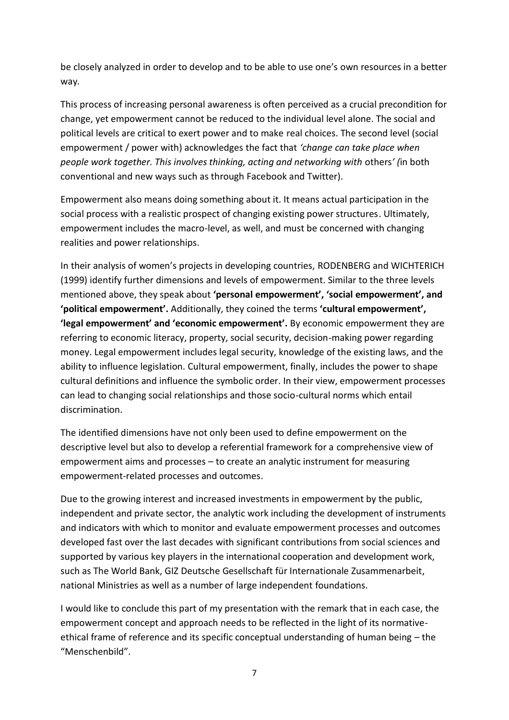be closely analyzed in order to develop and to be able to use one's own resources in a better way*.*

This process of increasing personal awareness is often perceived as a crucial precondition for change, yet empowerment cannot be reduced to the individual level alone. The social and political levels are critical to exert power and to make real choices. The second level (social empowerment / power with) acknowledges the fact that *'change can take place when people work together. This involves thinking, acting and networking with* others*' (*in both conventional and new ways such as through Facebook and Twitter).

Empowerment also means doing something about it. It means actual participation in the social process with a realistic prospect of changing existing power structures. Ultimately, empowerment includes the macro-level, as well, and must be concerned with changing realities and power relationships.

In their analysis of women's projects in developing countries, RODENBERG and WICHTERICH (1999) identify further dimensions and levels of empowerment. Similar to the three levels mentioned above, they speak about **'personal empowerment', 'social empowerment', and 'political empowerment'.** Additionally, they coined the terms **'cultural empowerment', 'legal empowerment' and 'economic empowerment'.** By economic empowerment they are referring to economic literacy, property, social security, decision-making power regarding money. Legal empowerment includes legal security, knowledge of the existing laws, and the ability to influence legislation. Cultural empowerment, finally, includes the power to shape cultural definitions and influence the symbolic order. In their view, empowerment processes can lead to changing social relationships and those socio-cultural norms which entail discrimination.

The identified dimensions have not only been used to define empowerment on the descriptive level but also to develop a referential framework for a comprehensive view of empowerment aims and processes – to create an analytic instrument for measuring empowerment-related processes and outcomes.

Due to the growing interest and increased investments in empowerment by the public, independent and private sector, the analytic work including the development of instruments and indicators with which to monitor and evaluate empowerment processes and outcomes developed fast over the last decades with significant contributions from social sciences and supported by various key players in the international cooperation and development work, such as The World Bank, GIZ Deutsche Gesellschaft für Internationale Zusammenarbeit, national Ministries as well as a number of large independent foundations.

I would like to conclude this part of my presentation with the remark that in each case, the empowerment concept and approach needs to be reflected in the light of its normativeethical frame of reference and its specific conceptual understanding of human being – the "Menschenbild".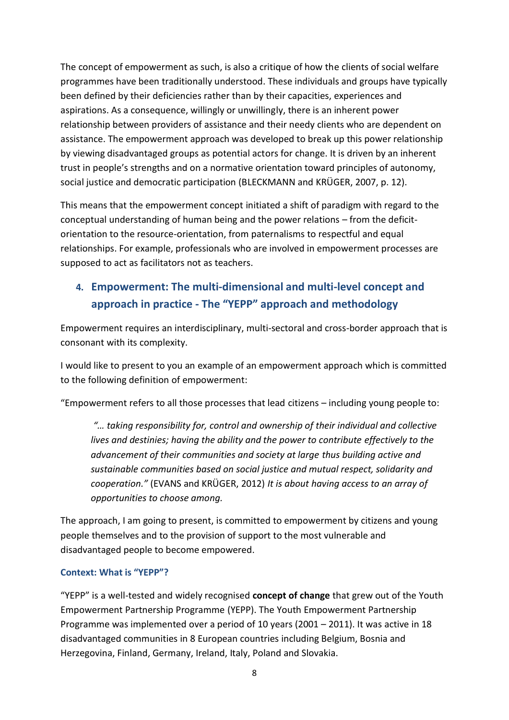The concept of empowerment as such, is also a critique of how the clients of social welfare programmes have been traditionally understood. These individuals and groups have typically been defined by their deficiencies rather than by their capacities, experiences and aspirations. As a consequence, willingly or unwillingly, there is an inherent power relationship between providers of assistance and their needy clients who are dependent on assistance. The empowerment approach was developed to break up this power relationship by viewing disadvantaged groups as potential actors for change. It is driven by an inherent trust in people's strengths and on a normative orientation toward principles of autonomy, social justice and democratic participation (BLECKMANN and KRÜGER, 2007, p. 12).

This means that the empowerment concept initiated a shift of paradigm with regard to the conceptual understanding of human being and the power relations – from the deficitorientation to the resource-orientation, from paternalisms to respectful and equal relationships. For example, professionals who are involved in empowerment processes are supposed to act as facilitators not as teachers.

# **4. Empowerment: The multi-dimensional and multi-level concept and approach in practice - The "YEPP" approach and methodology**

Empowerment requires an interdisciplinary, multi-sectoral and cross-border approach that is consonant with its complexity.

I would like to present to you an example of an empowerment approach which is committed to the following definition of empowerment:

"Empowerment refers to all those processes that lead citizens – including young people to:

*"… taking responsibility for, control and ownership of their individual and collective lives and destinies; having the ability and the power to contribute effectively to the advancement of their communities and society at large thus building active and sustainable communities based on social justice and mutual respect, solidarity and cooperation."* (EVANS and KRÜGER, 2012) *It is about having access to an array of opportunities to choose among.* 

The approach, I am going to present, is committed to empowerment by citizens and young people themselves and to the provision of support to the most vulnerable and disadvantaged people to become empowered.

#### **Context: What is "YEPP"?**

"YEPP" is a well-tested and widely recognised **concept of change** that grew out of the Youth Empowerment Partnership Programme (YEPP). The Youth Empowerment Partnership Programme was implemented over a period of 10 years (2001 – 2011). It was active in 18 disadvantaged communities in 8 European countries including Belgium, Bosnia and Herzegovina, Finland, Germany, Ireland, Italy, Poland and Slovakia.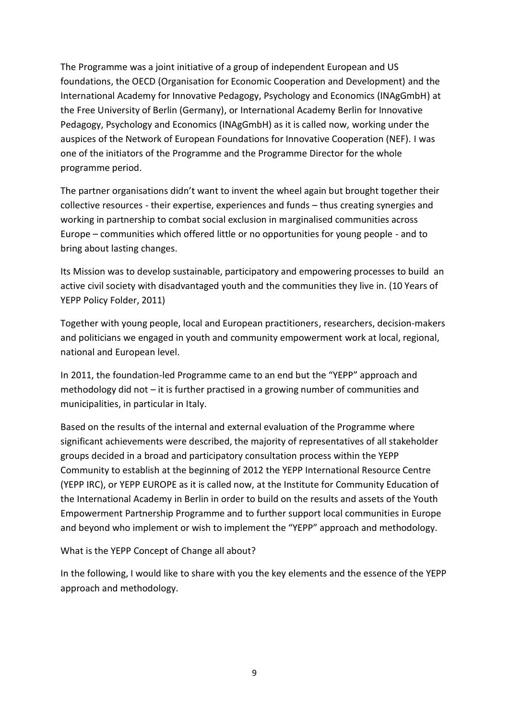The Programme was a joint initiative of a group of independent European and US foundations, the OECD (Organisation for Economic Cooperation and Development) and the International Academy for Innovative Pedagogy, Psychology and Economics (INAgGmbH) at the Free University of Berlin (Germany), or International Academy Berlin for Innovative Pedagogy, Psychology and Economics (INAgGmbH) as it is called now, working under the auspices of the Network of European Foundations for Innovative Cooperation (NEF). I was one of the initiators of the Programme and the Programme Director for the whole programme period.

The partner organisations didn't want to invent the wheel again but brought together their collective resources - their expertise, experiences and funds – thus creating synergies and working in partnership to combat social exclusion in marginalised communities across Europe – communities which offered little or no opportunities for young people - and to bring about lasting changes.

Its Mission was to develop sustainable, participatory and empowering processes to build an active civil society with disadvantaged youth and the communities they live in. (10 Years of YEPP Policy Folder, 2011)

Together with young people, local and European practitioners, researchers, decision-makers and politicians we engaged in youth and community empowerment work at local, regional, national and European level.

In 2011, the foundation-led Programme came to an end but the "YEPP" approach and methodology did not – it is further practised in a growing number of communities and municipalities, in particular in Italy.

Based on the results of the internal and external evaluation of the Programme where significant achievements were described, the majority of representatives of all stakeholder groups decided in a broad and participatory consultation process within the YEPP Community to establish at the beginning of 2012 the YEPP International Resource Centre (YEPP IRC), or YEPP EUROPE as it is called now, at the Institute for Community Education of the International Academy in Berlin in order to build on the results and assets of the Youth Empowerment Partnership Programme and to further support local communities in Europe and beyond who implement or wish to implement the "YEPP" approach and methodology.

What is the YEPP Concept of Change all about?

In the following, I would like to share with you the key elements and the essence of the YEPP approach and methodology.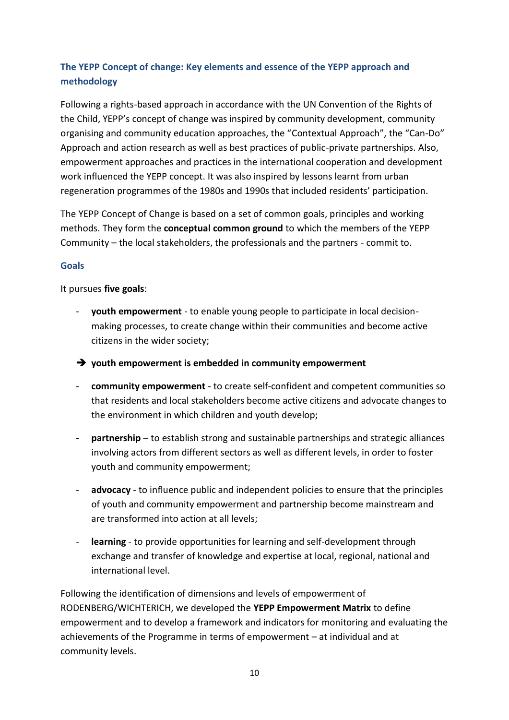# **The YEPP Concept of change: Key elements and essence of the YEPP approach and methodology**

Following a rights-based approach in accordance with the UN Convention of the Rights of the Child, YEPP's concept of change was inspired by community development, community organising and community education approaches, the "Contextual Approach", the "Can-Do" Approach and action research as well as best practices of public-private partnerships. Also, empowerment approaches and practices in the international cooperation and development work influenced the YEPP concept. It was also inspired by lessons learnt from urban regeneration programmes of the 1980s and 1990s that included residents' participation.

The YEPP Concept of Change is based on a set of common goals, principles and working methods. They form the **conceptual common ground** to which the members of the YEPP Community – the local stakeholders, the professionals and the partners - commit to.

#### **Goals**

#### It pursues **five goals**:

- **youth empowerment** to enable young people to participate in local decisionmaking processes, to create change within their communities and become active citizens in the wider society;
- ➔ **youth empowerment is embedded in community empowerment**
- **community empowerment** to create self-confident and competent communities so that residents and local stakeholders become active citizens and advocate changes to the environment in which children and youth develop;
- **partnership** to establish strong and sustainable partnerships and strategic alliances involving actors from different sectors as well as different levels, in order to foster youth and community empowerment;
- **advocacy** to influence public and independent policies to ensure that the principles of youth and community empowerment and partnership become mainstream and are transformed into action at all levels;
- **learning** to provide opportunities for learning and self-development through exchange and transfer of knowledge and expertise at local, regional, national and international level.

Following the identification of dimensions and levels of empowerment of RODENBERG/WICHTERICH, we developed the **YEPP Empowerment Matrix** to define empowerment and to develop a framework and indicators for monitoring and evaluating the achievements of the Programme in terms of empowerment – at individual and at community levels.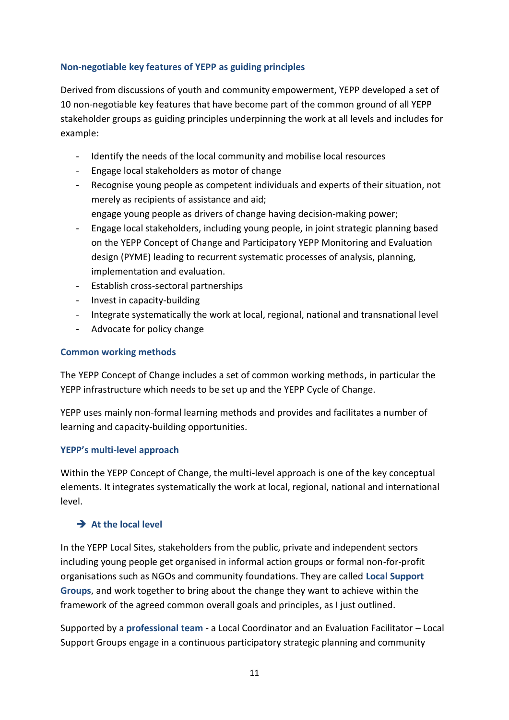#### **Non-negotiable key features of YEPP as guiding principles**

Derived from discussions of youth and community empowerment, YEPP developed a set of 10 non-negotiable key features that have become part of the common ground of all YEPP stakeholder groups as guiding principles underpinning the work at all levels and includes for example:

- Identify the needs of the local community and mobilise local resources
- Engage local stakeholders as motor of change
- Recognise young people as competent individuals and experts of their situation, not merely as recipients of assistance and aid; engage young people as drivers of change having decision-making power;
- Engage local stakeholders, including young people, in joint strategic planning based on the YEPP Concept of Change and Participatory YEPP Monitoring and Evaluation design (PYME) leading to recurrent systematic processes of analysis, planning, implementation and evaluation.
- Establish cross-sectoral partnerships
- Invest in capacity-building
- Integrate systematically the work at local, regional, national and transnational level
- Advocate for policy change

#### **Common working methods**

The YEPP Concept of Change includes a set of common working methods, in particular the YEPP infrastructure which needs to be set up and the YEPP Cycle of Change.

YEPP uses mainly non-formal learning methods and provides and facilitates a number of learning and capacity-building opportunities.

#### **YEPP's multi-level approach**

Within the YEPP Concept of Change, the multi-level approach is one of the key conceptual elements. It integrates systematically the work at local, regional, national and international level.

## ➔ **At the local level**

In the YEPP Local Sites, stakeholders from the public, private and independent sectors including young people get organised in informal action groups or formal non-for-profit organisations such as NGOs and community foundations. They are called **Local Support Groups**, and work together to bring about the change they want to achieve within the framework of the agreed common overall goals and principles, as I just outlined.

Supported by a **professional team** - a Local Coordinator and an Evaluation Facilitator – Local Support Groups engage in a continuous participatory strategic planning and community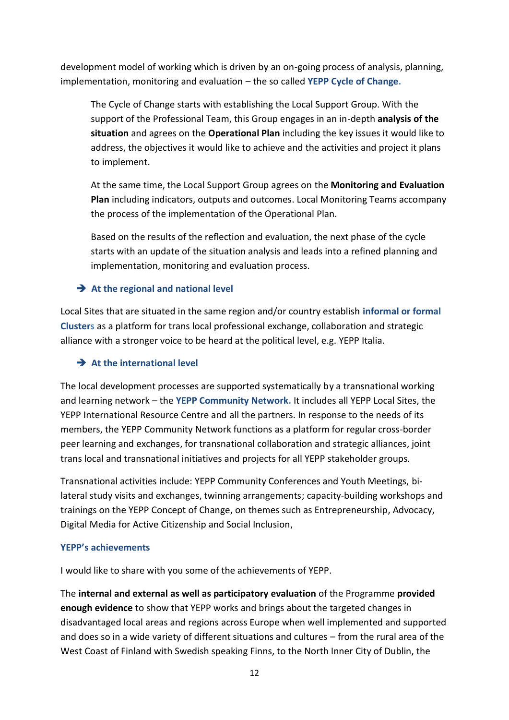development model of working which is driven by an on-going process of analysis, planning, implementation, monitoring and evaluation – the so called **YEPP Cycle of Change.**

The Cycle of Change starts with establishing the Local Support Group. With the support of the Professional Team, this Group engages in an in-depth **analysis of the situation** and agrees on the **Operational Plan** including the key issues it would like to address, the objectives it would like to achieve and the activities and project it plans to implement.

At the same time, the Local Support Group agrees on the **Monitoring and Evaluation Plan** including indicators, outputs and outcomes. Local Monitoring Teams accompany the process of the implementation of the Operational Plan.

Based on the results of the reflection and evaluation, the next phase of the cycle starts with an update of the situation analysis and leads into a refined planning and implementation, monitoring and evaluation process.

## ➔ **At the regional and national level**

Local Sites that are situated in the same region and/or country establish **informal or formal Clusters** as a platform for trans local professional exchange, collaboration and strategic alliance with a stronger voice to be heard at the political level, e.g. YEPP Italia.

## ➔ **At the international level**

The local development processes are supported systematically by a transnational working and learning network – the **YEPP Community Network.** It includes all YEPP Local Sites, the YEPP International Resource Centre and all the partners. In response to the needs of its members, the YEPP Community Network functions as a platform for regular cross-border peer learning and exchanges, for transnational collaboration and strategic alliances, joint trans local and transnational initiatives and projects for all YEPP stakeholder groups.

Transnational activities include: YEPP Community Conferences and Youth Meetings, bilateral study visits and exchanges, twinning arrangements; capacity-building workshops and trainings on the YEPP Concept of Change, on themes such as Entrepreneurship, Advocacy, Digital Media for Active Citizenship and Social Inclusion,

#### **YEPP's achievements**

I would like to share with you some of the achievements of YEPP.

The **internal and external as well as participatory evaluation** of the Programme **provided enough evidence** to show that YEPP works and brings about the targeted changes in disadvantaged local areas and regions across Europe when well implemented and supported and does so in a wide variety of different situations and cultures – from the rural area of the West Coast of Finland with Swedish speaking Finns, to the North Inner City of Dublin, the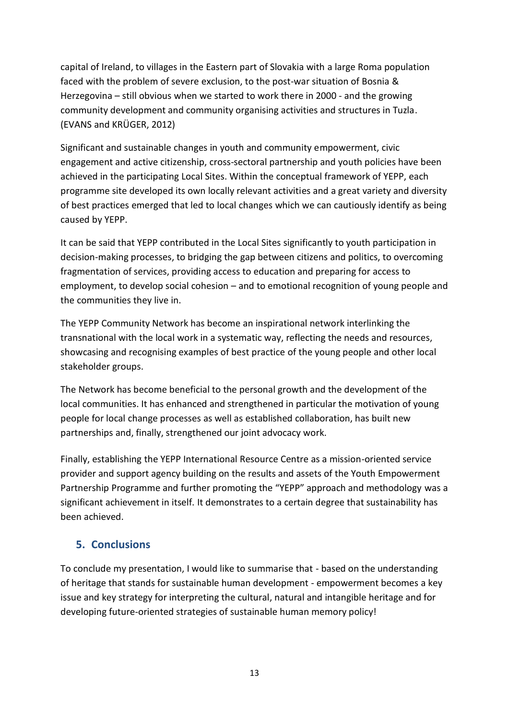capital of Ireland, to villages in the Eastern part of Slovakia with a large Roma population faced with the problem of severe exclusion, to the post-war situation of Bosnia & Herzegovina – still obvious when we started to work there in 2000 - and the growing community development and community organising activities and structures in Tuzla. (EVANS and KRÜGER, 2012)

Significant and sustainable changes in youth and community empowerment, civic engagement and active citizenship, cross-sectoral partnership and youth policies have been achieved in the participating Local Sites. Within the conceptual framework of YEPP, each programme site developed its own locally relevant activities and a great variety and diversity of best practices emerged that led to local changes which we can cautiously identify as being caused by YEPP.

It can be said that YEPP contributed in the Local Sites significantly to youth participation in decision-making processes, to bridging the gap between citizens and politics, to overcoming fragmentation of services, providing access to education and preparing for access to employment, to develop social cohesion – and to emotional recognition of young people and the communities they live in.

The YEPP Community Network has become an inspirational network interlinking the transnational with the local work in a systematic way, reflecting the needs and resources, showcasing and recognising examples of best practice of the young people and other local stakeholder groups.

The Network has become beneficial to the personal growth and the development of the local communities. It has enhanced and strengthened in particular the motivation of young people for local change processes as well as established collaboration, has built new partnerships and, finally, strengthened our joint advocacy work.

Finally, establishing the YEPP International Resource Centre as a mission-oriented service provider and support agency building on the results and assets of the Youth Empowerment Partnership Programme and further promoting the "YEPP" approach and methodology was a significant achievement in itself. It demonstrates to a certain degree that sustainability has been achieved.

# **5. Conclusions**

To conclude my presentation, I would like to summarise that - based on the understanding of heritage that stands for sustainable human development - empowerment becomes a key issue and key strategy for interpreting the cultural, natural and intangible heritage and for developing future-oriented strategies of sustainable human memory policy!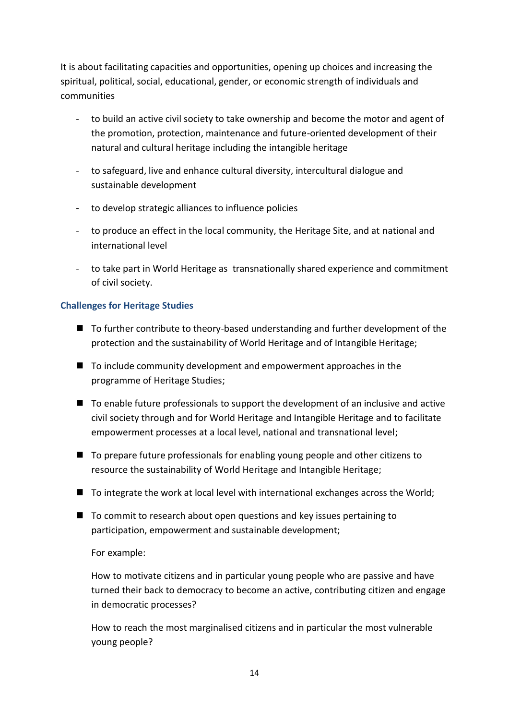It is about facilitating capacities and opportunities, opening up choices and increasing the spiritual, political, social, educational, gender, or economic strength of individuals and communities

- to build an active civil society to take ownership and become the motor and agent of the promotion, protection, maintenance and future-oriented development of their natural and cultural heritage including the intangible heritage
- to safeguard, live and enhance cultural diversity, intercultural dialogue and sustainable development
- to develop strategic alliances to influence policies
- to produce an effect in the local community, the Heritage Site, and at national and international level
- to take part in World Heritage as transnationally shared experience and commitment of civil society.

## **Challenges for Heritage Studies**

- To further contribute to theory-based understanding and further development of the protection and the sustainability of World Heritage and of Intangible Heritage;
- To include community development and empowerment approaches in the programme of Heritage Studies;
- To enable future professionals to support the development of an inclusive and active civil society through and for World Heritage and Intangible Heritage and to facilitate empowerment processes at a local level, national and transnational level;
- To prepare future professionals for enabling young people and other citizens to resource the sustainability of World Heritage and Intangible Heritage;
- To integrate the work at local level with international exchanges across the World;
- To commit to research about open questions and key issues pertaining to participation, empowerment and sustainable development;

#### For example:

How to motivate citizens and in particular young people who are passive and have turned their back to democracy to become an active, contributing citizen and engage in democratic processes?

How to reach the most marginalised citizens and in particular the most vulnerable young people?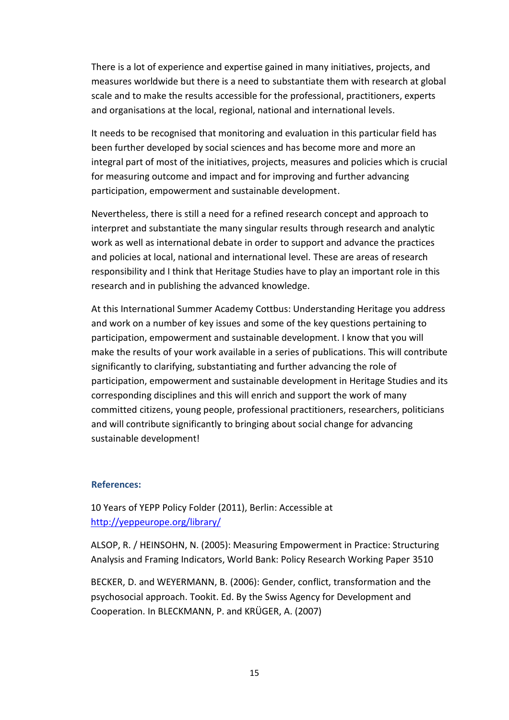There is a lot of experience and expertise gained in many initiatives, projects, and measures worldwide but there is a need to substantiate them with research at global scale and to make the results accessible for the professional, practitioners, experts and organisations at the local, regional, national and international levels.

It needs to be recognised that monitoring and evaluation in this particular field has been further developed by social sciences and has become more and more an integral part of most of the initiatives, projects, measures and policies which is crucial for measuring outcome and impact and for improving and further advancing participation, empowerment and sustainable development.

Nevertheless, there is still a need for a refined research concept and approach to interpret and substantiate the many singular results through research and analytic work as well as international debate in order to support and advance the practices and policies at local, national and international level. These are areas of research responsibility and I think that Heritage Studies have to play an important role in this research and in publishing the advanced knowledge.

At this International Summer Academy Cottbus: Understanding Heritage you address and work on a number of key issues and some of the key questions pertaining to participation, empowerment and sustainable development. I know that you will make the results of your work available in a series of publications. This will contribute significantly to clarifying, substantiating and further advancing the role of participation, empowerment and sustainable development in Heritage Studies and its corresponding disciplines and this will enrich and support the work of many committed citizens, young people, professional practitioners, researchers, politicians and will contribute significantly to bringing about social change for advancing sustainable development!

#### **References:**

10 Years of YEPP Policy Folder (2011), Berlin: Accessible at <http://yeppeurope.org/library/>

ALSOP, R. / HEINSOHN, N. (2005): Measuring Empowerment in Practice: Structuring Analysis and Framing Indicators, World Bank: Policy Research Working Paper 3510

BECKER, D. and WEYERMANN, B. (2006): Gender, conflict, transformation and the psychosocial approach. Tookit. Ed. By the Swiss Agency for Development and Cooperation. In BLECKMANN, P. and KRÜGER, A. (2007)